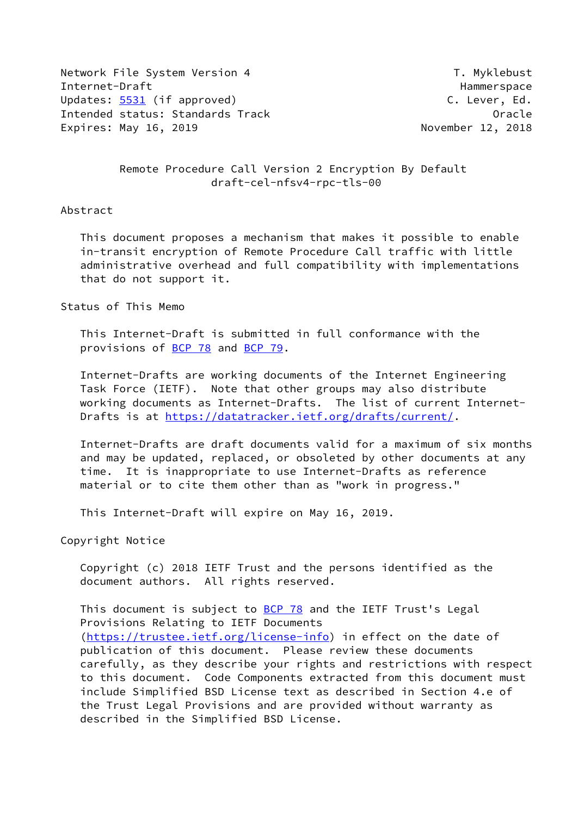Network File System Version 4 T. Myklebust Internet-Draft Hammerspace Hammerspace Hammerspace Updates: [5531](https://datatracker.ietf.org/doc/pdf/rfc5531) (if approved) C. Lever, Ed. Intended status: Standards Track Contract Contract Contracte Contracte Contracte Expires: May 16, 2019 **November 12, 2018** 

 Remote Procedure Call Version 2 Encryption By Default draft-cel-nfsv4-rpc-tls-00

## Abstract

 This document proposes a mechanism that makes it possible to enable in-transit encryption of Remote Procedure Call traffic with little administrative overhead and full compatibility with implementations that do not support it.

Status of This Memo

 This Internet-Draft is submitted in full conformance with the provisions of [BCP 78](https://datatracker.ietf.org/doc/pdf/bcp78) and [BCP 79](https://datatracker.ietf.org/doc/pdf/bcp79).

 Internet-Drafts are working documents of the Internet Engineering Task Force (IETF). Note that other groups may also distribute working documents as Internet-Drafts. The list of current Internet- Drafts is at<https://datatracker.ietf.org/drafts/current/>.

 Internet-Drafts are draft documents valid for a maximum of six months and may be updated, replaced, or obsoleted by other documents at any time. It is inappropriate to use Internet-Drafts as reference material or to cite them other than as "work in progress."

This Internet-Draft will expire on May 16, 2019.

Copyright Notice

 Copyright (c) 2018 IETF Trust and the persons identified as the document authors. All rights reserved.

This document is subject to **[BCP 78](https://datatracker.ietf.org/doc/pdf/bcp78)** and the IETF Trust's Legal Provisions Relating to IETF Documents [\(https://trustee.ietf.org/license-info](https://trustee.ietf.org/license-info)) in effect on the date of publication of this document. Please review these documents carefully, as they describe your rights and restrictions with respect to this document. Code Components extracted from this document must include Simplified BSD License text as described in Section 4.e of the Trust Legal Provisions and are provided without warranty as described in the Simplified BSD License.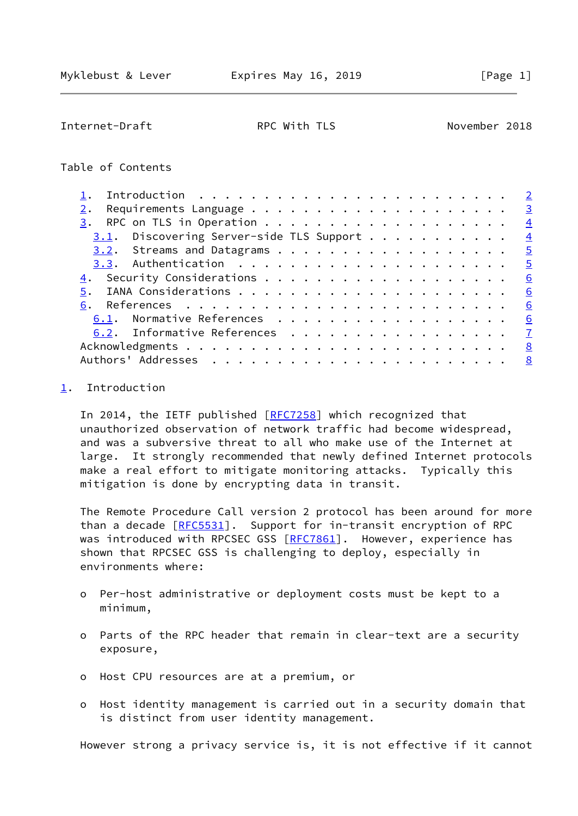<span id="page-1-1"></span>Internet-Draft RPC With TLS November 2018

Table of Contents

|                                             | $\overline{2}$          |
|---------------------------------------------|-------------------------|
|                                             | $\overline{\mathbf{3}}$ |
| 3.                                          | $\overline{4}$          |
| $3.1$ . Discovering Server-side TLS Support | $\overline{4}$          |
| $3.2$ . Streams and Datagrams 5             |                         |
|                                             | $\overline{5}$          |
|                                             | 6                       |
| 5.                                          | 6                       |
|                                             | 6                       |
| 6.1. Normative References                   | 6                       |
| 6.2. Informative References                 | $\overline{7}$          |
|                                             | 8                       |
|                                             | 8                       |

## <span id="page-1-0"></span>[1](#page-1-0). Introduction

 In 2014, the IETF published [\[RFC7258](https://datatracker.ietf.org/doc/pdf/rfc7258)] which recognized that unauthorized observation of network traffic had become widespread, and was a subversive threat to all who make use of the Internet at large. It strongly recommended that newly defined Internet protocols make a real effort to mitigate monitoring attacks. Typically this mitigation is done by encrypting data in transit.

 The Remote Procedure Call version 2 protocol has been around for more than a decade [[RFC5531](https://datatracker.ietf.org/doc/pdf/rfc5531)]. Support for in-transit encryption of RPC was introduced with RPCSEC GSS [\[RFC7861](https://datatracker.ietf.org/doc/pdf/rfc7861)]. However, experience has shown that RPCSEC GSS is challenging to deploy, especially in environments where:

- o Per-host administrative or deployment costs must be kept to a minimum,
- o Parts of the RPC header that remain in clear-text are a security exposure,
- o Host CPU resources are at a premium, or
- o Host identity management is carried out in a security domain that is distinct from user identity management.

However strong a privacy service is, it is not effective if it cannot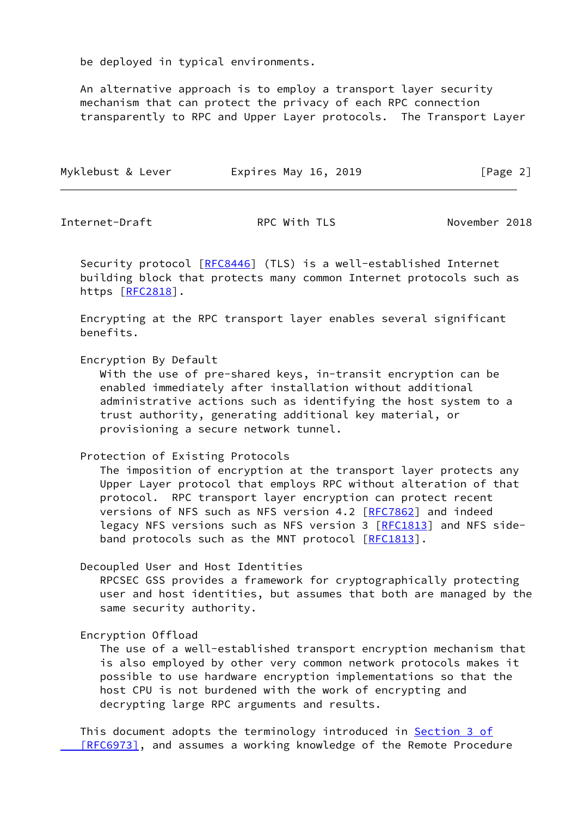be deployed in typical environments.

 An alternative approach is to employ a transport layer security mechanism that can protect the privacy of each RPC connection transparently to RPC and Upper Layer protocols. The Transport Layer

| Myklebust & Lever | Expires May 16, 2019 | [Page 2] |
|-------------------|----------------------|----------|
|                   |                      |          |

<span id="page-2-0"></span>Internet-Draft RPC With TLS November 2018

 Security protocol [[RFC8446](https://datatracker.ietf.org/doc/pdf/rfc8446)] (TLS) is a well-established Internet building block that protects many common Internet protocols such as https [[RFC2818](https://datatracker.ietf.org/doc/pdf/rfc2818)].

 Encrypting at the RPC transport layer enables several significant benefits.

Encryption By Default

 With the use of pre-shared keys, in-transit encryption can be enabled immediately after installation without additional administrative actions such as identifying the host system to a trust authority, generating additional key material, or provisioning a secure network tunnel.

Protection of Existing Protocols

 The imposition of encryption at the transport layer protects any Upper Layer protocol that employs RPC without alteration of that protocol. RPC transport layer encryption can protect recent versions of NFS such as NFS version 4.2 [[RFC7862\]](https://datatracker.ietf.org/doc/pdf/rfc7862) and indeed legacy NFS versions such as NFS version 3 [\[RFC1813](https://datatracker.ietf.org/doc/pdf/rfc1813)] and NFS side- band protocols such as the MNT protocol [[RFC1813\]](https://datatracker.ietf.org/doc/pdf/rfc1813).

Decoupled User and Host Identities

 RPCSEC GSS provides a framework for cryptographically protecting user and host identities, but assumes that both are managed by the same security authority.

Encryption Offload

 The use of a well-established transport encryption mechanism that is also employed by other very common network protocols makes it possible to use hardware encryption implementations so that the host CPU is not burdened with the work of encrypting and decrypting large RPC arguments and results.

This document adopts the terminology introduced in [Section](https://datatracker.ietf.org/doc/pdf/rfc6973#section-3) 3 of [RFC6973], and assumes a working knowledge of the Remote Procedure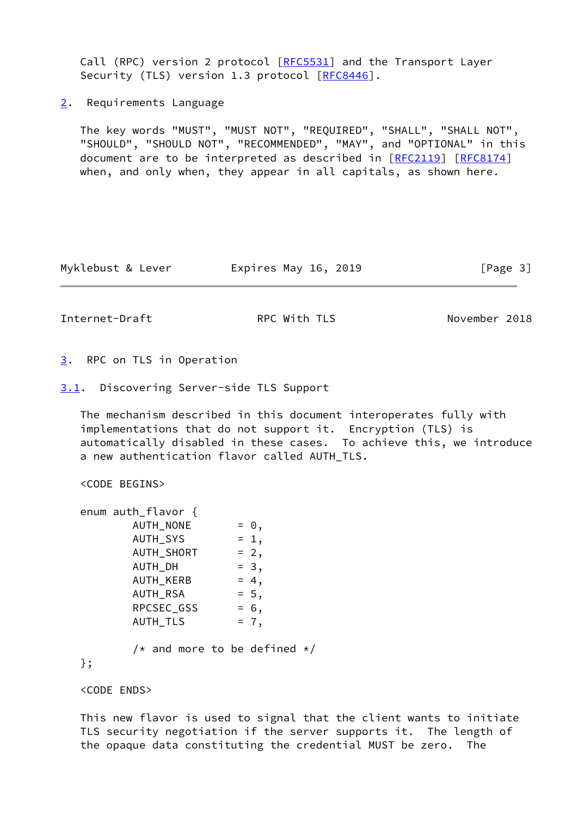Call (RPC) version 2 protocol [[RFC5531](https://datatracker.ietf.org/doc/pdf/rfc5531)] and the Transport Layer Security (TLS) version 1.3 protocol [\[RFC8446](https://datatracker.ietf.org/doc/pdf/rfc8446)].

<span id="page-3-0"></span>[2](#page-3-0). Requirements Language

 The key words "MUST", "MUST NOT", "REQUIRED", "SHALL", "SHALL NOT", "SHOULD", "SHOULD NOT", "RECOMMENDED", "MAY", and "OPTIONAL" in this document are to be interpreted as described in [\[RFC2119](https://datatracker.ietf.org/doc/pdf/rfc2119)] [\[RFC8174](https://datatracker.ietf.org/doc/pdf/rfc8174)] when, and only when, they appear in all capitals, as shown here.

Myklebust & Lever **Expires May 16, 2019** [Page 3]

<span id="page-3-2"></span>Internet-Draft **RPC With TLS** November 2018

<span id="page-3-1"></span>[3](#page-3-1). RPC on TLS in Operation

<span id="page-3-3"></span>[3.1](#page-3-3). Discovering Server-side TLS Support

 The mechanism described in this document interoperates fully with implementations that do not support it. Encryption (TLS) is automatically disabled in these cases. To achieve this, we introduce a new authentication flavor called AUTH\_TLS.

```
 <CODE BEGINS>
```

| enum auth_flavor {             |             |  |
|--------------------------------|-------------|--|
| AUTH_NONE                      | $= \Theta,$ |  |
| AUTH_SYS                       | $= 1,$      |  |
| <b>AUTH SHORT</b>              | $= 2,$      |  |
| AUTH_DH                        | $= 3,$      |  |
| AUTH_KERB                      | $= 4,$      |  |
| AUTH RSA                       | $= 5,$      |  |
| RPCSEC_GSS                     | $= 6,$      |  |
| AUTH_TLS                       | $= 7,$      |  |
| /* and more to be defined $*/$ |             |  |
|                                |             |  |

<CODE ENDS>

 This new flavor is used to signal that the client wants to initiate TLS security negotiation if the server supports it. The length of the opaque data constituting the credential MUST be zero. The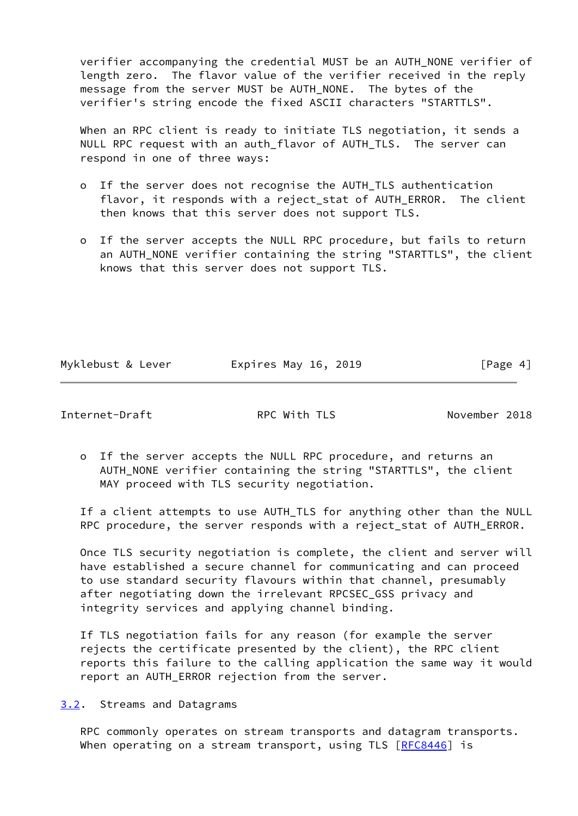verifier accompanying the credential MUST be an AUTH\_NONE verifier of length zero. The flavor value of the verifier received in the reply message from the server MUST be AUTH NONE. The bytes of the verifier's string encode the fixed ASCII characters "STARTTLS".

 When an RPC client is ready to initiate TLS negotiation, it sends a NULL RPC request with an auth\_flavor of AUTH TLS. The server can respond in one of three ways:

- o If the server does not recognise the AUTH\_TLS authentication flavor, it responds with a reject\_stat of AUTH\_ERROR. The client then knows that this server does not support TLS.
- o If the server accepts the NULL RPC procedure, but fails to return an AUTH\_NONE verifier containing the string "STARTTLS", the client knows that this server does not support TLS.

Myklebust & Lever **Expires May 16, 2019** [Page 4]

<span id="page-4-1"></span>Internet-Draft RPC With TLS November 2018

 o If the server accepts the NULL RPC procedure, and returns an AUTH\_NONE verifier containing the string "STARTTLS", the client MAY proceed with TLS security negotiation.

 If a client attempts to use AUTH\_TLS for anything other than the NULL RPC procedure, the server responds with a reject\_stat of AUTH\_ERROR.

 Once TLS security negotiation is complete, the client and server will have established a secure channel for communicating and can proceed to use standard security flavours within that channel, presumably after negotiating down the irrelevant RPCSEC\_GSS privacy and integrity services and applying channel binding.

 If TLS negotiation fails for any reason (for example the server rejects the certificate presented by the client), the RPC client reports this failure to the calling application the same way it would report an AUTH\_ERROR rejection from the server.

<span id="page-4-0"></span>[3.2](#page-4-0). Streams and Datagrams

 RPC commonly operates on stream transports and datagram transports. When operating on a stream transport, using TLS  $[RECS446]$  is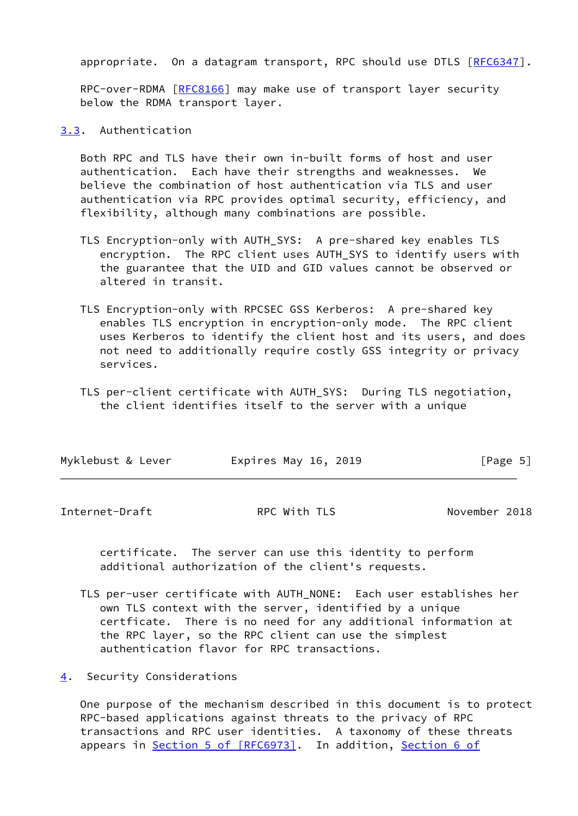appropriate. On a datagram transport, RPC should use DTLS [[RFC6347\]](https://datatracker.ietf.org/doc/pdf/rfc6347).

 RPC-over-RDMA [[RFC8166](https://datatracker.ietf.org/doc/pdf/rfc8166)] may make use of transport layer security below the RDMA transport layer.

<span id="page-5-0"></span>[3.3](#page-5-0). Authentication

 Both RPC and TLS have their own in-built forms of host and user authentication. Each have their strengths and weaknesses. We believe the combination of host authentication via TLS and user authentication via RPC provides optimal security, efficiency, and flexibility, although many combinations are possible.

- TLS Encryption-only with AUTH\_SYS: A pre-shared key enables TLS encryption. The RPC client uses AUTH\_SYS to identify users with the guarantee that the UID and GID values cannot be observed or altered in transit.
- TLS Encryption-only with RPCSEC GSS Kerberos: A pre-shared key enables TLS encryption in encryption-only mode. The RPC client uses Kerberos to identify the client host and its users, and does not need to additionally require costly GSS integrity or privacy services.
- TLS per-client certificate with AUTH\_SYS: During TLS negotiation, the client identifies itself to the server with a unique

| Myklebust & Lever<br>Expires May 16, 2019 | [Page 5] |
|-------------------------------------------|----------|
|-------------------------------------------|----------|

<span id="page-5-2"></span>Internet-Draft RPC With TLS November 2018

 certificate. The server can use this identity to perform additional authorization of the client's requests.

 TLS per-user certificate with AUTH\_NONE: Each user establishes her own TLS context with the server, identified by a unique certficate. There is no need for any additional information at the RPC layer, so the RPC client can use the simplest authentication flavor for RPC transactions.

<span id="page-5-1"></span>[4](#page-5-1). Security Considerations

 One purpose of the mechanism described in this document is to protect RPC-based applications against threats to the privacy of RPC transactions and RPC user identities. A taxonomy of these threats appears in Section [5 of \[RFC6973\]](https://datatracker.ietf.org/doc/pdf/rfc6973#section-5). In addition, [Section](https://datatracker.ietf.org/doc/pdf/rfc7525#section-6) 6 of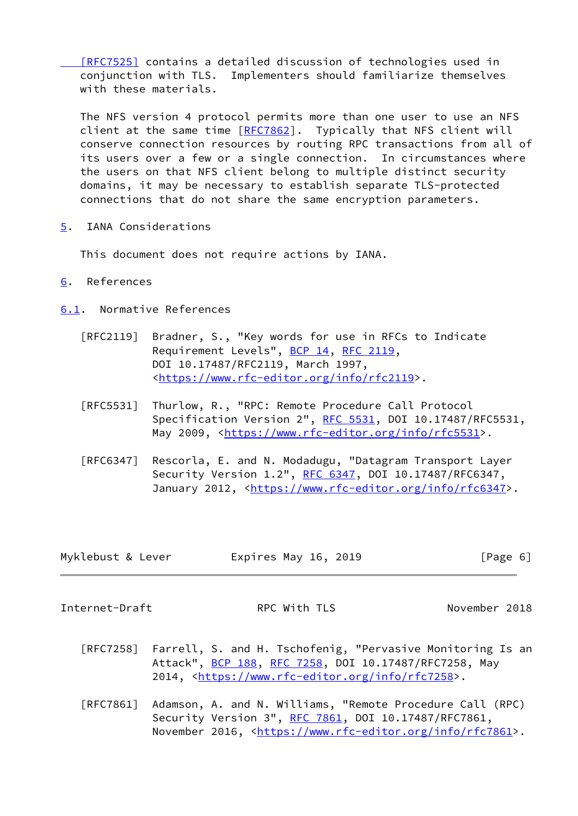[\[RFC7525\]](https://datatracker.ietf.org/doc/pdf/rfc7525#section-6) contains a detailed discussion of technologies used in conjunction with TLS. Implementers should familiarize themselves with these materials.

 The NFS version 4 protocol permits more than one user to use an NFS client at the same time [\[RFC7862](https://datatracker.ietf.org/doc/pdf/rfc7862)]. Typically that NFS client will conserve connection resources by routing RPC transactions from all of its users over a few or a single connection. In circumstances where the users on that NFS client belong to multiple distinct security domains, it may be necessary to establish separate TLS-protected connections that do not share the same encryption parameters.

<span id="page-6-0"></span>[5](#page-6-0). IANA Considerations

This document does not require actions by IANA.

- <span id="page-6-1"></span>[6](#page-6-1). References
- <span id="page-6-2"></span>[6.1](#page-6-2). Normative References
	- [RFC2119] Bradner, S., "Key words for use in RFCs to Indicate Requirement Levels", [BCP 14](https://datatracker.ietf.org/doc/pdf/bcp14), [RFC 2119](https://datatracker.ietf.org/doc/pdf/rfc2119), DOI 10.17487/RFC2119, March 1997, <[https://www.rfc-editor.org/info/rfc2119>](https://www.rfc-editor.org/info/rfc2119).
	- [RFC5531] Thurlow, R., "RPC: Remote Procedure Call Protocol Specification Version 2", [RFC 5531](https://datatracker.ietf.org/doc/pdf/rfc5531), DOI 10.17487/RFC5531, May 2009, [<https://www.rfc-editor.org/info/rfc5531](https://www.rfc-editor.org/info/rfc5531)>.
	- [RFC6347] Rescorla, E. and N. Modadugu, "Datagram Transport Layer Security Version 1.2", [RFC 6347](https://datatracker.ietf.org/doc/pdf/rfc6347), DOI 10.17487/RFC6347, January 2012, [<https://www.rfc-editor.org/info/rfc6347](https://www.rfc-editor.org/info/rfc6347)>.

| Myklebust & Lever | Expires May 16, 2019 | [Page 6] |
|-------------------|----------------------|----------|
|-------------------|----------------------|----------|

<span id="page-6-3"></span>Internet-Draft RPC With TLS November 2018

- [RFC7258] Farrell, S. and H. Tschofenig, "Pervasive Monitoring Is an Attack", [BCP 188,](https://datatracker.ietf.org/doc/pdf/bcp188) [RFC 7258](https://datatracker.ietf.org/doc/pdf/rfc7258), DOI 10.17487/RFC7258, May 2014, [<https://www.rfc-editor.org/info/rfc7258](https://www.rfc-editor.org/info/rfc7258)>.
- [RFC7861] Adamson, A. and N. Williams, "Remote Procedure Call (RPC) Security Version 3", [RFC 7861](https://datatracker.ietf.org/doc/pdf/rfc7861), DOI 10.17487/RFC7861, November 2016, <<https://www.rfc-editor.org/info/rfc7861>>.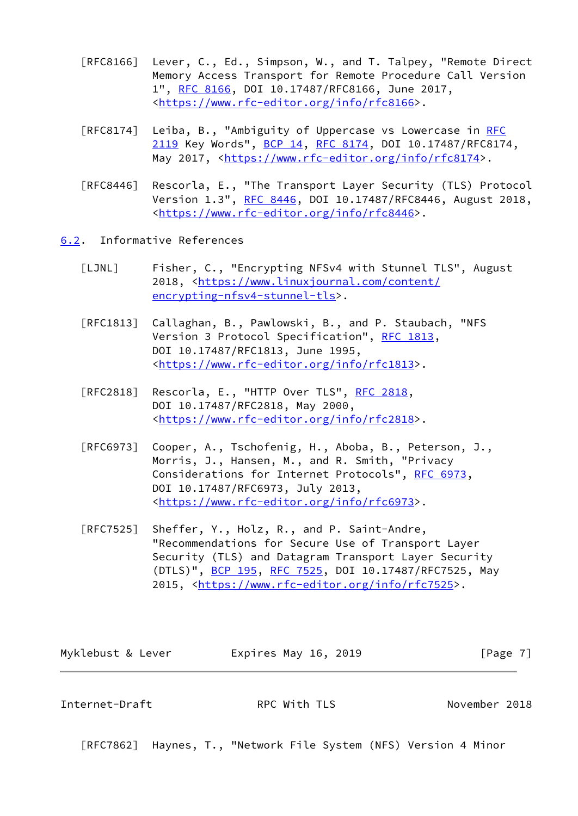- [RFC8166] Lever, C., Ed., Simpson, W., and T. Talpey, "Remote Direct Memory Access Transport for Remote Procedure Call Version 1", [RFC 8166,](https://datatracker.ietf.org/doc/pdf/rfc8166) DOI 10.17487/RFC8166, June 2017, <[https://www.rfc-editor.org/info/rfc8166>](https://www.rfc-editor.org/info/rfc8166).
- [RFC8174] Leiba, B., "Ambiguity of Uppercase vs Lowercase in [RFC](https://datatracker.ietf.org/doc/pdf/rfc2119) [2119](https://datatracker.ietf.org/doc/pdf/rfc2119) Key Words", [BCP 14](https://datatracker.ietf.org/doc/pdf/bcp14), [RFC 8174,](https://datatracker.ietf.org/doc/pdf/rfc8174) DOI 10.17487/RFC8174, May 2017, [<https://www.rfc-editor.org/info/rfc8174](https://www.rfc-editor.org/info/rfc8174)>.
- [RFC8446] Rescorla, E., "The Transport Layer Security (TLS) Protocol Version 1.3", [RFC 8446](https://datatracker.ietf.org/doc/pdf/rfc8446), DOI 10.17487/RFC8446, August 2018, <[https://www.rfc-editor.org/info/rfc8446>](https://www.rfc-editor.org/info/rfc8446).
- <span id="page-7-2"></span><span id="page-7-0"></span>[6.2](#page-7-0). Informative References
	- [LJNL] Fisher, C., "Encrypting NFSv4 with Stunnel TLS", August 2018, [<https://www.linuxjournal.com/content/](https://www.linuxjournal.com/content/encrypting-nfsv4-stunnel-tls) [encrypting-nfsv4-stunnel-tls>](https://www.linuxjournal.com/content/encrypting-nfsv4-stunnel-tls).
	- [RFC1813] Callaghan, B., Pawlowski, B., and P. Staubach, "NFS Version 3 Protocol Specification", [RFC 1813](https://datatracker.ietf.org/doc/pdf/rfc1813), DOI 10.17487/RFC1813, June 1995, <[https://www.rfc-editor.org/info/rfc1813>](https://www.rfc-editor.org/info/rfc1813).
	- [RFC2818] Rescorla, E., "HTTP Over TLS", [RFC 2818](https://datatracker.ietf.org/doc/pdf/rfc2818), DOI 10.17487/RFC2818, May 2000, <[https://www.rfc-editor.org/info/rfc2818>](https://www.rfc-editor.org/info/rfc2818).
	- [RFC6973] Cooper, A., Tschofenig, H., Aboba, B., Peterson, J., Morris, J., Hansen, M., and R. Smith, "Privacy Considerations for Internet Protocols", [RFC 6973,](https://datatracker.ietf.org/doc/pdf/rfc6973) DOI 10.17487/RFC6973, July 2013, <[https://www.rfc-editor.org/info/rfc6973>](https://www.rfc-editor.org/info/rfc6973).
	- [RFC7525] Sheffer, Y., Holz, R., and P. Saint-Andre, "Recommendations for Secure Use of Transport Layer Security (TLS) and Datagram Transport Layer Security (DTLS)", [BCP 195,](https://datatracker.ietf.org/doc/pdf/bcp195) [RFC 7525](https://datatracker.ietf.org/doc/pdf/rfc7525), DOI 10.17487/RFC7525, May 2015, [<https://www.rfc-editor.org/info/rfc7525](https://www.rfc-editor.org/info/rfc7525)>.

| Myklebust & Lever | Expires May 16, 2019 | [Page 7] |
|-------------------|----------------------|----------|
|-------------------|----------------------|----------|

<span id="page-7-1"></span>Internet-Draft RPC With TLS November 2018

[RFC7862] Haynes, T., "Network File System (NFS) Version 4 Minor